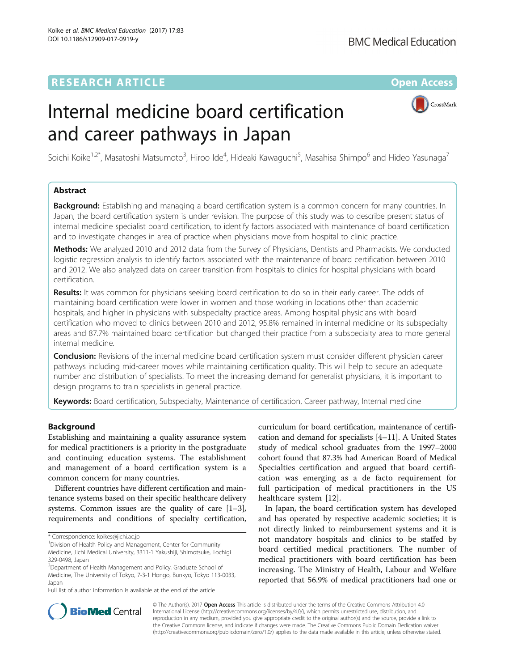# **RESEARCH ARTICLE External Structure Community Community Community Community Community Community Community Community**

# Internal medicine board certification and career pathways in Japan



Soichi Koike<sup>1,2\*</sup>, Masatoshi Matsumoto<sup>3</sup>, Hiroo Ide<sup>4</sup>, Hideaki Kawaguchi<sup>5</sup>, Masahisa Shimpo<sup>6</sup> and Hideo Yasunaga<sup>7</sup>

# Abstract

Background: Establishing and managing a board certification system is a common concern for many countries. In Japan, the board certification system is under revision. The purpose of this study was to describe present status of internal medicine specialist board certification, to identify factors associated with maintenance of board certification and to investigate changes in area of practice when physicians move from hospital to clinic practice.

Methods: We analyzed 2010 and 2012 data from the Survey of Physicians, Dentists and Pharmacists. We conducted logistic regression analysis to identify factors associated with the maintenance of board certification between 2010 and 2012. We also analyzed data on career transition from hospitals to clinics for hospital physicians with board certification.

Results: It was common for physicians seeking board certification to do so in their early career. The odds of maintaining board certification were lower in women and those working in locations other than academic hospitals, and higher in physicians with subspecialty practice areas. Among hospital physicians with board certification who moved to clinics between 2010 and 2012, 95.8% remained in internal medicine or its subspecialty areas and 87.7% maintained board certification but changed their practice from a subspecialty area to more general internal medicine.

Conclusion: Revisions of the internal medicine board certification system must consider different physician career pathways including mid-career moves while maintaining certification quality. This will help to secure an adequate number and distribution of specialists. To meet the increasing demand for generalist physicians, it is important to design programs to train specialists in general practice.

Keywords: Board certification, Subspecialty, Maintenance of certification, Career pathway, Internal medicine

# Background

Establishing and maintaining a quality assurance system for medical practitioners is a priority in the postgraduate and continuing education systems. The establishment and management of a board certification system is a common concern for many countries.

Different countries have different certification and maintenance systems based on their specific healthcare delivery systems. Common issues are the quality of care [[1](#page-6-0)–[3](#page-6-0)], requirements and conditions of specialty certification,

Full list of author information is available at the end of the article

curriculum for board certification, maintenance of certification and demand for specialists [\[4](#page-6-0)–[11\]](#page-6-0). A United States study of medical school graduates from the 1997–2000 cohort found that 87.3% had American Board of Medical Specialties certification and argued that board certification was emerging as a de facto requirement for full participation of medical practitioners in the US healthcare system [[12\]](#page-6-0).

In Japan, the board certification system has developed and has operated by respective academic societies; it is not directly linked to reimbursement systems and it is not mandatory hospitals and clinics to be staffed by board certified medical practitioners. The number of medical practitioners with board certification has been increasing. The Ministry of Health, Labour and Welfare reported that 56.9% of medical practitioners had one or



© The Author(s). 2017 **Open Access** This article is distributed under the terms of the Creative Commons Attribution 4.0 International License [\(http://creativecommons.org/licenses/by/4.0/](http://creativecommons.org/licenses/by/4.0/)), which permits unrestricted use, distribution, and reproduction in any medium, provided you give appropriate credit to the original author(s) and the source, provide a link to the Creative Commons license, and indicate if changes were made. The Creative Commons Public Domain Dedication waiver [\(http://creativecommons.org/publicdomain/zero/1.0/](http://creativecommons.org/publicdomain/zero/1.0/)) applies to the data made available in this article, unless otherwise stated.

<sup>\*</sup> Correspondence: [koikes@jichi.ac.jp](mailto:koikes@jichi.ac.jp) <sup>1</sup>

<sup>&</sup>lt;sup>1</sup> Division of Health Policy and Management, Center for Community Medicine, Jichi Medical University, 3311-1 Yakushiji, Shimotsuke, Tochigi 329-0498, Japan

<sup>2</sup> Department of Health Management and Policy, Graduate School of Medicine, The University of Tokyo, 7-3-1 Hongo, Bunkyo, Tokyo 113-0033, Japan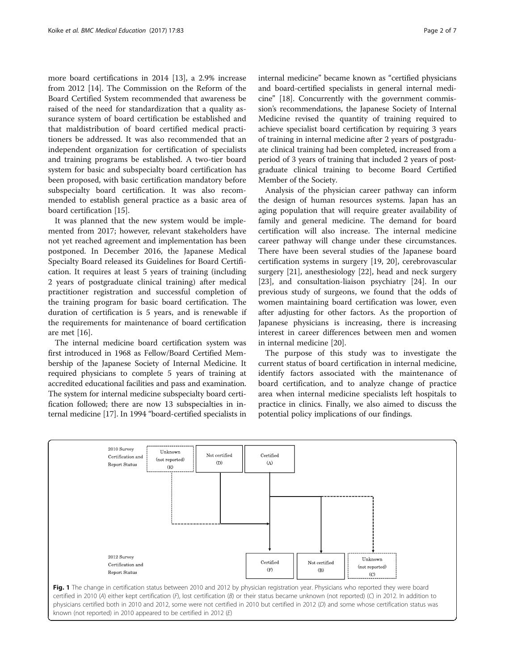<span id="page-1-0"></span>more board certifications in 2014 [\[13](#page-6-0)], a 2.9% increase from 2012 [[14\]](#page-6-0). The Commission on the Reform of the Board Certified System recommended that awareness be raised of the need for standardization that a quality assurance system of board certification be established and that maldistribution of board certified medical practitioners be addressed. It was also recommended that an independent organization for certification of specialists and training programs be established. A two-tier board system for basic and subspecialty board certification has been proposed, with basic certification mandatory before subspecialty board certification. It was also recommended to establish general practice as a basic area of board certification [[15\]](#page-6-0).

It was planned that the new system would be implemented from 2017; however, relevant stakeholders have not yet reached agreement and implementation has been postponed. In December 2016, the Japanese Medical Specialty Board released its Guidelines for Board Certification. It requires at least 5 years of training (including 2 years of postgraduate clinical training) after medical practitioner registration and successful completion of the training program for basic board certification. The duration of certification is 5 years, and is renewable if the requirements for maintenance of board certification are met [[16\]](#page-6-0).

The internal medicine board certification system was first introduced in 1968 as Fellow/Board Certified Membership of the Japanese Society of Internal Medicine. It required physicians to complete 5 years of training at accredited educational facilities and pass and examination. The system for internal medicine subspecialty board certification followed; there are now 13 subspecialties in internal medicine [[17](#page-6-0)]. In 1994 "board-certified specialists in internal medicine" became known as "certified physicians and board-certified specialists in general internal medicine" [[18](#page-6-0)]. Concurrently with the government commission's recommendations, the Japanese Society of Internal Medicine revised the quantity of training required to achieve specialist board certification by requiring 3 years of training in internal medicine after 2 years of postgraduate clinical training had been completed, increased from a period of 3 years of training that included 2 years of postgraduate clinical training to become Board Certified Member of the Society.

Analysis of the physician career pathway can inform the design of human resources systems. Japan has an aging population that will require greater availability of family and general medicine. The demand for board certification will also increase. The internal medicine career pathway will change under these circumstances. There have been several studies of the Japanese board certification systems in surgery [\[19](#page-6-0), [20\]](#page-6-0), cerebrovascular surgery [\[21](#page-6-0)], anesthesiology [[22\]](#page-6-0), head and neck surgery [[23\]](#page-6-0), and consultation-liaison psychiatry [\[24\]](#page-6-0). In our previous study of surgeons, we found that the odds of women maintaining board certification was lower, even after adjusting for other factors. As the proportion of Japanese physicians is increasing, there is increasing interest in career differences between men and women in internal medicine [\[20](#page-6-0)].

The purpose of this study was to investigate the current status of board certification in internal medicine, identify factors associated with the maintenance of board certification, and to analyze change of practice area when internal medicine specialists left hospitals to practice in clinics. Finally, we also aimed to discuss the potential policy implications of our findings.

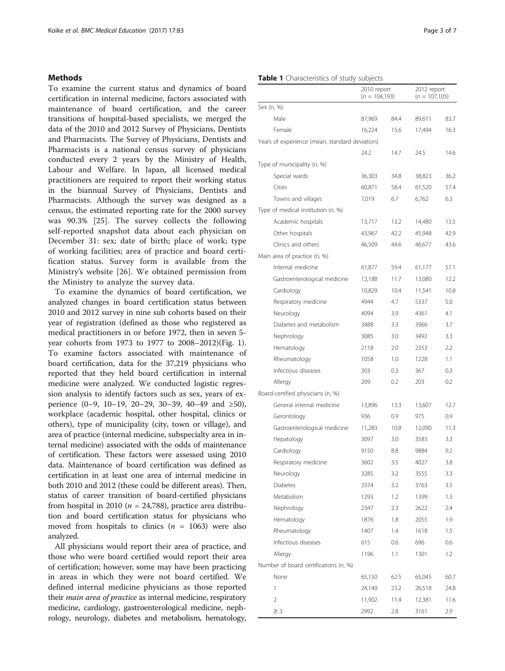## <span id="page-2-0"></span>Methods

To examine the current status and dynamics of board certification in internal medicine, factors associated with maintenance of board certification, and the career transitions of hospital-based specialists, we merged the data of the 2010 and 2012 Survey of Physicians, Dentists and Pharmacists. The Survey of Physicians, Dentists and Pharmacists is a national census survey of physicians conducted every 2 years by the Ministry of Health, Labour and Welfare. In Japan, all licensed medical practitioners are required to report their working status in the biannual Survey of Physicians, Dentists and Pharmacists. Although the survey was designed as a census, the estimated reporting rate for the 2000 survey was 90.3% [\[25\]](#page-6-0). The survey collects the following self-reported snapshot data about each physician on December 31: sex; date of birth; place of work; type of working facilities; area of practice and board certification status. Survey form is available from the Ministry's website [[26\]](#page-6-0). We obtained permission from the Ministry to analyze the survey data.

To examine the dynamics of board certification, we analyzed changes in board certification status between 2010 and 2012 survey in nine sub cohorts based on their year of registration (defined as those who registered as medical practitioners in or before 1972, then in seven 5 year cohorts from 1973 to 1977 to 2008–2012)(Fig. [1](#page-1-0)). To examine factors associated with maintenance of board certification, data for the 37,219 physicians who reported that they held board certification in internal medicine were analyzed. We conducted logistic regression analysis to identify factors such as sex, years of experience  $(0-9, 10-19, 20-29, 30-39, 40-49, 30 \ge 50)$ , workplace (academic hospital, other hospital, clinics or others), type of municipality (city, town or village), and area of practice (internal medicine, subspecialty area in internal medicine) associated with the odds of maintenance of certification. These factors were assessed using 2010 data. Maintenance of board certification was defined as certification in at least one area of internal medicine in both 2010 and 2012 (these could be different areas). Then, status of career transition of board-certified physicians from hospital in 2010 ( $n = 24,788$ ), practice area distribution and board certification status for physicians who moved from hospitals to clinics ( $n = 1063$ ) were also analyzed.

All physicians would report their area of practice, and those who were board certified would report their area of certification; however, some may have been practicing in areas in which they were not board certified. We defined internal medicine physicians as those reported their *main area of practice* as internal medicine, respiratory medicine, cardiology, gastroenterological medicine, nephrology, neurology, diabetes and metabolism, hematology,

#### Table 1 Characteristics of study subjects

|                |                                                | 2010 report<br>$(n = 104, 193)$ |      | 2012 report<br>$(n = 107, 105)$ |      |
|----------------|------------------------------------------------|---------------------------------|------|---------------------------------|------|
| Sex (n, %)     |                                                |                                 |      |                                 |      |
|                | Male                                           | 87,969                          | 84.4 | 89,611                          | 83.7 |
|                | Female                                         | 16,224                          | 15.6 | 17,494                          | 16.3 |
|                | Years of experience (mean, standard deviation) |                                 |      |                                 |      |
|                |                                                | 24.2                            | 14.7 | 24.5                            | 14.6 |
|                | Type of municipality (n, %)                    |                                 |      |                                 |      |
|                | Special wards                                  | 36,303                          | 34.8 | 38,823                          | 36.2 |
|                | Cities                                         | 60,871                          | 58.4 | 61,520                          | 57.4 |
|                | Towns and villages                             | 7,019                           | 6.7  | 6,762                           | 6.3  |
|                | Type of medical institution (n, %)             |                                 |      |                                 |      |
|                | Academic hospitals                             | 13,717                          | 13.2 | 14,480                          | 13.5 |
|                | Other hospitals                                | 43,967                          | 42.2 | 45,948                          | 42.9 |
|                | Clinics and others                             | 46,509                          | 44.6 | 46,677                          | 43.6 |
|                | Main area of practice (n, %)                   |                                 |      |                                 |      |
|                | Internal medicine                              | 61,877                          | 59.4 | 61,177                          | 57.1 |
|                | Gastroenterological medicine                   | 12,188                          | 11.7 | 13,080                          | 12.2 |
|                | Cardiology                                     | 10,829                          | 10.4 | 11,541                          | 10.8 |
|                | Respiratory medicine                           | 4944                            | 4.7  | 5337                            | 5.0  |
|                | Neurology                                      | 4094                            | 3.9  | 4361                            | 4.1  |
|                | Diabetes and metabolism                        | 3488                            | 3.3  | 3966                            | 3.7  |
|                | Nephrology                                     | 3085                            | 3.0  | 3492                            | 3.3  |
|                | Hematology                                     | 2118                            | 2.0  | 2353                            | 2.2  |
|                | Rheumatology                                   | 1058                            | 1.0  | 1228                            | 1.1  |
|                | Infectious diseases                            | 303                             | 0.3  | 367                             | 0.3  |
|                | Allergy                                        | 209                             | 0.2  | 203                             | 0.2  |
|                | Board-certified physicians (n, %)              |                                 |      |                                 |      |
|                | General internal medicine                      | 13,896                          | 13.3 | 13,607                          | 12.7 |
|                | Gerontology                                    | 936                             | 0.9  | 975                             | 0.9  |
|                | Gastroenterological medicine                   | 11,283                          | 10.8 | 12,090                          | 11.3 |
|                | Hepatology                                     | 3097                            | 3.0  | 3583                            | 3.3  |
|                | Cardiology                                     | 9150                            | 8.8  | 9884                            | 9.2  |
|                | Respiratory medicine                           | 3602                            | 3.5  | 4027                            | 3.8  |
|                | Neurology                                      | 3285                            | 3.2  | 3555                            | 3.3  |
|                | <b>Diabetes</b>                                | 3374                            | 3.2  | 3763                            | 3.5  |
|                | Metabolism                                     | 1293                            | 1.2  | 1399                            | 1.3  |
|                | Nephrology                                     | 2347                            | 2.3  | 2622                            | 2.4  |
|                | Hematology                                     | 1876                            | 1.8  | 2055                            | 1.9  |
|                | Rheumatology                                   | 1407                            | 1.4  | 1618                            | 1.5  |
|                | Infectious diseases                            | 615                             | 0.6  | 696                             | 0.6  |
|                | Allergy                                        | 1196                            | 1.1  | 1301                            | 1.2  |
|                | Number of board certifications (n, %)          |                                 |      |                                 |      |
|                | None                                           | 65,150                          | 62.5 | 65,045                          | 60.7 |
| 1              |                                                | 24,149                          | 23.2 | 26,518                          | 24.8 |
| $\overline{2}$ |                                                | 11,902                          | 11.4 | 12,381                          | 11.6 |
| $\geq$ 3       |                                                | 2992                            | 2.8  | 3161                            | 2.9  |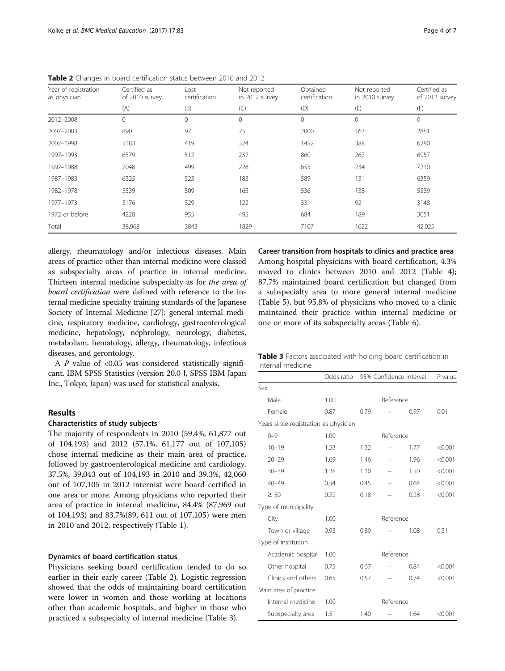| Year of registration<br>as physician | Certified as<br>of 2010 survey | Lost<br>certification | Not reported<br>in 2012 survey | Obtained<br>certification | Not reported<br>in 2010 survey | Certified as<br>of 2012 survey |
|--------------------------------------|--------------------------------|-----------------------|--------------------------------|---------------------------|--------------------------------|--------------------------------|
|                                      | (A)                            | (B)                   | (C)                            | (D)                       | (E)                            | (F)                            |
| 2012-2008                            | 0                              | 0                     | $\mathbf{0}$                   | $\mathbf{0}$              | 0                              | $\mathbf{0}$                   |
| 2007-2003                            | 890                            | 97                    | 75                             | 2000                      | 163                            | 2881                           |
| 2002-1998                            | 5183                           | 419                   | 324                            | 1452                      | 388                            | 6280                           |
| 1997-1993                            | 6579                           | 512                   | 237                            | 860                       | 267                            | 6957                           |
| 1992-1988                            | 7048                           | 499                   | 228                            | 655                       | 234                            | 7210                           |
| 1987-1983                            | 6325                           | 523                   | 183                            | 589                       | 151                            | 6359                           |
| 1982-1978                            | 5539                           | 509                   | 165                            | 536                       | 138                            | 5539                           |
| 1977-1973                            | 3176                           | 329                   | 122                            | 331                       | 92                             | 3148                           |
| 1972 or before                       | 4228                           | 955                   | 495                            | 684                       | 189                            | 3651                           |
| Total                                | 38,968                         | 3843                  | 1829                           | 7107                      | 1622                           | 42,025                         |

Table 2 Changes in board certification status between 2010 and 2012

allergy, rheumatology and/or infectious diseases. Main areas of practice other than internal medicine were classed as subspecialty areas of practice in internal medicine. Thirteen internal medicine subspecialty as for the area of board certification were defined with reference to the internal medicine specialty training standards of the Japanese Society of Internal Medicine [[27](#page-6-0)]: general internal medicine, respiratory medicine, cardiology, gastroenterological medicine, hepatology, nephrology, neurology, diabetes, metabolism, hematology, allergy, rheumatology, infectious diseases, and gerontology.

A  $P$  value of <0.05 was considered statistically significant. IBM SPSS Statistics (version 20.0 J, SPSS IBM Japan Inc., Tokyo, Japan) was used for statistical analysis.

## Results

#### Characteristics of study subjects

The majority of respondents in 2010 (59.4%, 61,877 out of 104,193) and 2012 (57.1%, 61,177 out of 107,105) chose internal medicine as their main area of practice, followed by gastroenterological medicine and cardiology. 37.5%, 39,043 out of 104,193 in 2010 and 39.3%, 42,060 out of 107,105 in 2012 internist were board certified in one area or more. Among physicians who reported their area of practice in internal medicine, 84.4% (87,969 out of 104,193) and 83.7%(89, 611 out of 107,105) were men in 2010 and 2012, respectively (Table [1\)](#page-2-0).

#### Dynamics of board certification status

Physicians seeking board certification tended to do so earlier in their early career (Table 2). Logistic regression showed that the odds of maintaining board certification were lower in women and those working at locations other than academic hospitals, and higher in those who practiced a subspecialty of internal medicine (Table 3).

Career transition from hospitals to clinics and practice area Among hospital physicians with board certification, 4.3% moved to clinics between 2010 and 2012 (Table [4](#page-4-0)); 87.7% maintained board certification but changed from a subspecialty area to more general internal medicine (Table [5](#page-4-0)), but 95.8% of physicians who moved to a clinic maintained their practice within internal medicine or one or more of its subspecialty areas (Table [6](#page-5-0)).

|                   |  |  | <b>Table 3</b> Factors associated with holding board certification in |  |
|-------------------|--|--|-----------------------------------------------------------------------|--|
| internal medicine |  |  |                                                                       |  |

|                                       | Odds ratio |      | 95% Confidence interval |      | $P$ value |
|---------------------------------------|------------|------|-------------------------|------|-----------|
| Sex                                   |            |      |                         |      |           |
| Male                                  | 1.00       |      | Reference               |      |           |
| Female                                | 0.87       | 0.79 |                         | 0.97 | 0.01      |
| Years since registration as physician |            |      |                         |      |           |
| $0 - 9$                               | 1.00       |      | Reference               |      |           |
| $10 - 19$                             | 1.53       | 1.32 |                         | 1.77 | < 0.001   |
| $20 - 29$                             | 1.69       | 1.46 |                         | 1.96 | < 0.001   |
| $30 - 39$                             | 1.28       | 1.10 |                         | 1.50 | < 0.001   |
| $40 - 49$                             | 0.54       | 0.45 |                         | 0.64 | < 0.001   |
| $\geq 50$                             | 0.22       | 0.18 |                         | 0.28 | < 0.001   |
| Type of municipality                  |            |      |                         |      |           |
| City                                  | 1.00       |      | Reference               |      |           |
| Town or village                       | 0.93       | 0.80 |                         | 1.08 | 0.31      |
| Type of institution                   |            |      |                         |      |           |
| Academic hospital                     | 1.00       |      | Reference               |      |           |
| Other hospital                        | 0.75       | 0.67 |                         | 0.84 | < 0.001   |
| Clinics and others                    | 0.65       | 0.57 |                         | 0.74 | < 0.001   |
| Main area of practice                 |            |      |                         |      |           |
| Internal medicine                     | 1.00       |      | Reference               |      |           |
| Subspecialty area                     | 1.51       | 1.40 |                         | 1.64 | < 0.001   |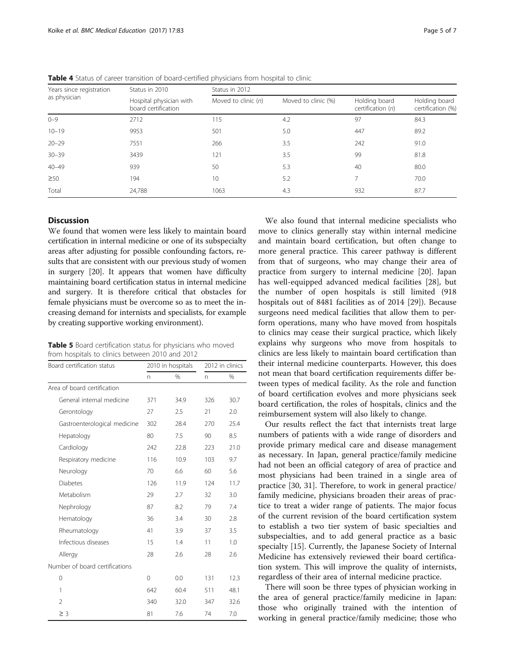| Years since registration<br>as physician | Status in 2010                                 | Status in 2012        |                     |                                    |                                    |
|------------------------------------------|------------------------------------------------|-----------------------|---------------------|------------------------------------|------------------------------------|
|                                          | Hospital physician with<br>board certification | Moved to clinic $(n)$ | Moved to clinic (%) | Holding board<br>certification (n) | Holding board<br>certification (%) |
| $0 - 9$                                  | 2712                                           | 115                   | 4.2                 | 97                                 | 84.3                               |
| $10 - 19$                                | 9953                                           | 501                   | 5.0                 | 447                                | 89.2                               |
| $20 - 29$                                | 7551                                           | 266                   | 3.5                 | 242                                | 91.0                               |
| $30 - 39$                                | 3439                                           | 121                   | 3.5                 | 99                                 | 81.8                               |
| $40 - 49$                                | 939                                            | 50                    | 5.3                 | 40                                 | 80.0                               |
| $\geq 50$                                | 194                                            | 10                    | 5.2                 |                                    | 70.0                               |
| Total                                    | 24,788                                         | 1063                  | 4.3                 | 932                                | 87.7                               |

<span id="page-4-0"></span>Table 4 Status of career transition of board-certified physicians from hospital to clinic

#### Discussion

We found that women were less likely to maintain board certification in internal medicine or one of its subspecialty areas after adjusting for possible confounding factors, results that are consistent with our previous study of women in surgery [[20](#page-6-0)]. It appears that women have difficulty maintaining board certification status in internal medicine and surgery. It is therefore critical that obstacles for female physicians must be overcome so as to meet the increasing demand for internists and specialists, for example by creating supportive working environment).

Table 5 Board certification status for physicians who moved from hospitals to clinics between 2010 and 2012

| Board certification status     |     | 2010 in hospitals |     | 2012 in clinics |  |
|--------------------------------|-----|-------------------|-----|-----------------|--|
|                                | n   | $\%$              | n   | $\%$            |  |
| Area of board certification    |     |                   |     |                 |  |
| General internal medicine      | 371 | 34.9              | 326 | 30.7            |  |
| Gerontology                    | 27  | 2.5               | 21  | 2.0             |  |
| Gastroenterological medicine   | 302 | 28.4              | 270 | 25.4            |  |
| Hepatology                     | 80  | 7.5               | 90  | 8.5             |  |
| Cardiology                     | 242 | 22.8              | 223 | 21.0            |  |
| Respiratory medicine           | 116 | 10.9              | 103 | 9.7             |  |
| Neurology                      | 70  | 6.6               | 60  | 5.6             |  |
| <b>Diabetes</b>                | 126 | 11.9              | 124 | 11.7            |  |
| Metabolism                     | 29  | 2.7               | 32  | 3.0             |  |
| Nephrology                     | 87  | 8.2               | 79  | 7.4             |  |
| Hematology                     | 36  | 3.4               | 30  | 2.8             |  |
| Rheumatology                   | 41  | 3.9               | 37  | 3.5             |  |
| Infectious diseases            | 15  | 1.4               | 11  | 1.0             |  |
| Allergy                        | 28  | 2.6               | 28  | 2.6             |  |
| Number of board certifications |     |                   |     |                 |  |
| 0                              | 0   | 0.0               | 131 | 12.3            |  |
| 1                              | 642 | 60.4              | 511 | 48.1            |  |
| $\mathfrak{D}$                 | 340 | 32.0              | 347 | 32.6            |  |
| $\geq$ 3                       | 81  | 7.6               | 74  | 7.0             |  |

We also found that internal medicine specialists who move to clinics generally stay within internal medicine and maintain board certification, but often change to more general practice. This career pathway is different from that of surgeons, who may change their area of practice from surgery to internal medicine [\[20\]](#page-6-0). Japan has well-equipped advanced medical facilities [\[28\]](#page-6-0), but the number of open hospitals is still limited (918 hospitals out of 8481 facilities as of 2014 [[29\]](#page-6-0)). Because surgeons need medical facilities that allow them to perform operations, many who have moved from hospitals to clinics may cease their surgical practice, which likely explains why surgeons who move from hospitals to clinics are less likely to maintain board certification than their internal medicine counterparts. However, this does not mean that board certification requirements differ between types of medical facility. As the role and function of board certification evolves and more physicians seek board certification, the roles of hospitals, clinics and the reimbursement system will also likely to change.

Our results reflect the fact that internists treat large numbers of patients with a wide range of disorders and provide primary medical care and disease management as necessary. In Japan, general practice/family medicine had not been an official category of area of practice and most physicians had been trained in a single area of practice [\[30](#page-6-0), [31\]](#page-6-0). Therefore, to work in general practice/ family medicine, physicians broaden their areas of practice to treat a wider range of patients. The major focus of the current revision of the board certification system to establish a two tier system of basic specialties and subspecialties, and to add general practice as a basic specialty [[15\]](#page-6-0). Currently, the Japanese Society of Internal Medicine has extensively reviewed their board certification system. This will improve the quality of internists, regardless of their area of internal medicine practice.

There will soon be three types of physician working in the area of general practice/family medicine in Japan: those who originally trained with the intention of working in general practice/family medicine; those who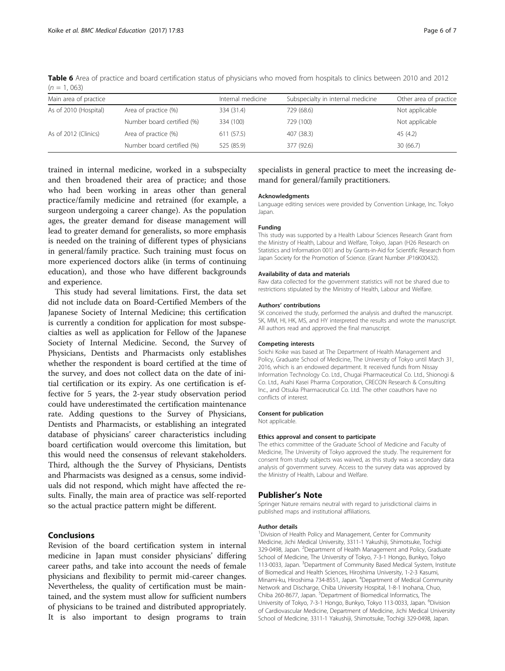| Main area of practice |                            | Internal medicine | Subspecialty in internal medicine | Other area of practice |
|-----------------------|----------------------------|-------------------|-----------------------------------|------------------------|
| As of 2010 (Hospital) | Area of practice (%)       | 334 (31.4)        | 729 (68.6)                        | Not applicable         |
|                       | Number board certified (%) | 334 (100)         | 729 (100)                         | Not applicable         |
| As of 2012 (Clinics)  | Area of practice (%)       | 611 (57.5)        | 407 (38.3)                        | 45(4.2)                |
|                       | Number board certified (%) | 525 (85.9)        | 377 (92.6)                        | 30(66.7)               |

<span id="page-5-0"></span>Table 6 Area of practice and board certification status of physicians who moved from hospitals to clinics between 2010 and 2012  $(n = 1, 063)$ 

trained in internal medicine, worked in a subspecialty and then broadened their area of practice; and those who had been working in areas other than general practice/family medicine and retrained (for example, a surgeon undergoing a career change). As the population ages, the greater demand for disease management will lead to greater demand for generalists, so more emphasis is needed on the training of different types of physicians in general/family practice. Such training must focus on more experienced doctors alike (in terms of continuing education), and those who have different backgrounds and experience.

This study had several limitations. First, the data set did not include data on Board-Certified Members of the Japanese Society of Internal Medicine; this certification is currently a condition for application for most subspecialties as well as application for Fellow of the Japanese Society of Internal Medicine. Second, the Survey of Physicians, Dentists and Pharmacists only establishes whether the respondent is board certified at the time of the survey, and does not collect data on the date of initial certification or its expiry. As one certification is effective for 5 years, the 2-year study observation period could have underestimated the certification maintenance rate. Adding questions to the Survey of Physicians, Dentists and Pharmacists, or establishing an integrated database of physicians' career characteristics including board certification would overcome this limitation, but this would need the consensus of relevant stakeholders. Third, although the the Survey of Physicians, Dentists and Pharmacists was designed as a census, some individuals did not respond, which might have affected the results. Finally, the main area of practice was self-reported so the actual practice pattern might be different.

## Conclusions

Revision of the board certification system in internal medicine in Japan must consider physicians' differing career paths, and take into account the needs of female physicians and flexibility to permit mid-career changes. Nevertheless, the quality of certification must be maintained, and the system must allow for sufficient numbers of physicians to be trained and distributed appropriately. It is also important to design programs to train

# specialists in general practice to meet the increasing demand for general/family practitioners.

#### Acknowledgments

Language editing services were provided by Convention Linkage, Inc. Tokyo Japan.

#### Funding

This study was supported by a Health Labour Sciences Research Grant from the Ministry of Health, Labour and Welfare, Tokyo, Japan (H26 Research on Statistics and Information 001) and by Grants-in-Aid for Scientific Research from Japan Society for the Promotion of Science. (Grant Number JP16K00432).

#### Availability of data and materials

Raw data collected for the government statistics will not be shared due to restrictions stipulated by the Ministry of Health, Labour and Welfare.

#### Authors' contributions

SK conceived the study, performed the analysis and drafted the manuscript. SK, MM, HI, HK, MS, and HY interpreted the results and wrote the manuscript. All authors read and approved the final manuscript.

#### Competing interests

Soichi Koike was based at The Department of Health Management and Policy, Graduate School of Medicine, The University of Tokyo until March 31, 2016, which is an endowed department. It received funds from Nissay Information Technology Co. Ltd., Chugai Pharmaceutical Co. Ltd., Shionogi & Co. Ltd., Asahi Kasei Pharma Corporation, CRECON Research & Consulting Inc., and Otsuka Pharmaceutical Co. Ltd. The other coauthors have no conflicts of interest.

#### Consent for publication

Not applicable.

#### Ethics approval and consent to participate

The ethics committee of the Graduate School of Medicine and Faculty of Medicine, The University of Tokyo approved the study. The requirement for consent from study subjects was waived, as this study was a secondary data analysis of government survey. Access to the survey data was approved by the Ministry of Health, Labour and Welfare.

#### Publisher's Note

Springer Nature remains neutral with regard to jurisdictional claims in published maps and institutional affiliations.

#### Author details

<sup>1</sup> Division of Health Policy and Management, Center for Community Medicine, Jichi Medical University, 3311-1 Yakushiji, Shimotsuke, Tochigi 329-0498, Japan. <sup>2</sup>Department of Health Management and Policy, Graduate School of Medicine, The University of Tokyo, 7-3-1 Hongo, Bunkyo, Tokyo 113-0033, Japan. <sup>3</sup>Department of Community Based Medical System, Institute of Biomedical and Health Sciences, Hiroshima University, 1-2-3 Kasumi, Minami-ku, Hiroshima 734-8551, Japan. <sup>4</sup> Department of Medical Community Network and Discharge, Chiba University Hospital, 1-8-1 Inohana, Chuo, Chiba 260-8677, Japan. <sup>5</sup>Department of Biomedical Informatics, The University of Tokyo, 7-3-1 Hongo, Bunkyo, Tokyo 113-0033, Japan. <sup>6</sup>Division of Cardiovascular Medicine, Department of Medicine, Jichi Medical University School of Medicine, 3311-1 Yakushiji, Shimotsuke, Tochigi 329-0498, Japan.